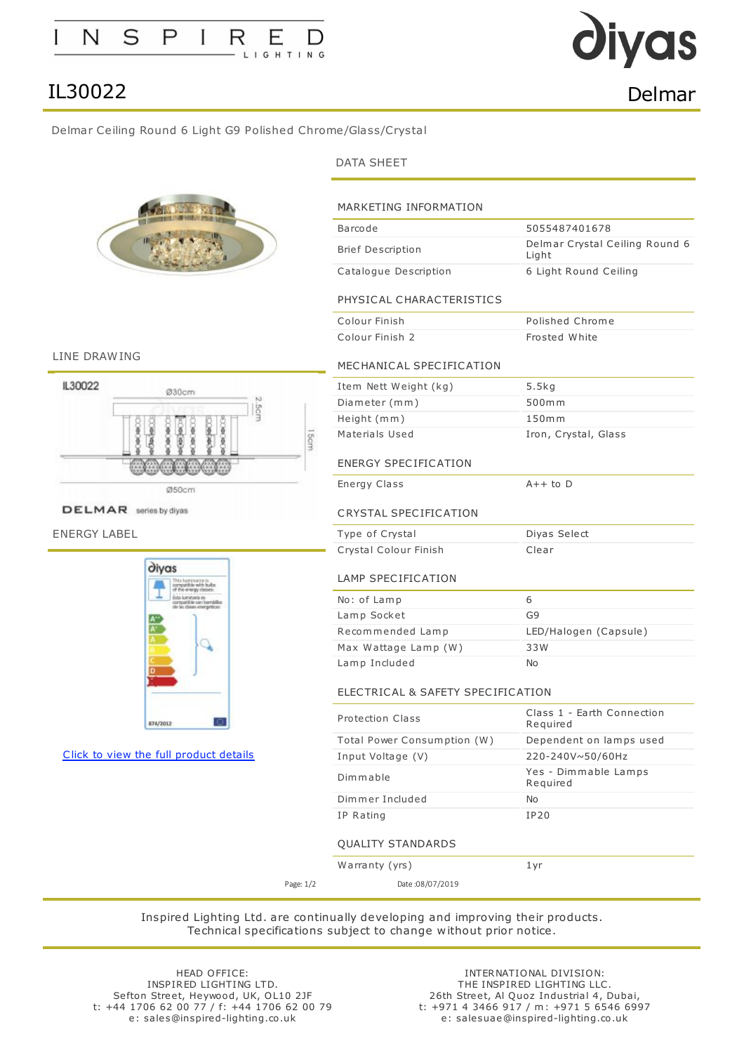# as IL30022 Delmar

<span id="page-0-0"></span>Delmar Ceiling Round 6 Light G9 Polished Chrome/Glass/Crystal



## DATA SHEET

| Barcode                           | 5055487401678                                         |
|-----------------------------------|-------------------------------------------------------|
| <b>Brief Description</b>          | Delmar Crystal Ceiling Round 6<br>Light               |
| Catalogue Description             | 6 Light Round Ceiling                                 |
| PHYSICAL CHARACTERISTICS          |                                                       |
| Colour Finish                     | Polished Chrome                                       |
| Colour Finish 2                   | Frosted White                                         |
| MECHANICAL SPECIFICATION          |                                                       |
| Item Nett Weight (kg)             | 5.5kg                                                 |
| Diameter (mm)                     | 500mm                                                 |
| Height (mm)                       | 150 <sub>m</sub>                                      |
| Materials Used                    | Iron, Crystal, Glass                                  |
| <b>ENERGY SPECIFICATION</b>       |                                                       |
| Energy Class                      | $A++$ to $D$                                          |
|                                   |                                                       |
| Type of Crystal                   | Diyas Select                                          |
| Crystal Colour Finish             | Clear                                                 |
| LAMP SPECIFICATION                |                                                       |
| No: of Lamp                       | 6                                                     |
| Lamp Socket                       | G9                                                    |
| Recommended Lamp                  | LED/Halogen (Capsule)                                 |
| Max Wattage Lamp (W)              | 33W                                                   |
| Lamp Included                     | No                                                    |
| ELECTRICAL & SAFETY SPECIFICATION |                                                       |
| <b>Protection Class</b>           | Required                                              |
| Total Power Consumption (W)       | Class 1 - Earth Connection<br>Dependent on lamps used |
| Input Voltage (V)                 | 220-240V~50/60Hz                                      |
| Dimmable                          | Yes - Dimmable Lamps<br>Required                      |
| Dimmer Included                   | No                                                    |

LINE DRAWING



DELMAR series by diyas

ENERGY LABEL



Click to view the full [product](#page-0-0) details

# Warranty (yrs) 1yr

Page: 1/2 Date :08/07/2019

Inspired Lighting Ltd. are continually developing and improving their products. Technical specifications subject to change without prior notice.

HEAD OFFICE: INSPIRED LIGHTING LTD. Sefton Street, Heywood, UK, OL10 2JF t: +44 1706 62 00 77 / f: +44 1706 62 00 79 e: sales@inspired-lighting.co.uk

INTERNATIONAL DIVISION: THE INSPIRED LIGHTING LLC. 26th Street, Al Quoz Industrial 4, Dubai, t: +971 4 3466 917 / m: +971 5 6546 6997 e: salesuae@inspired-lighting.co.uk